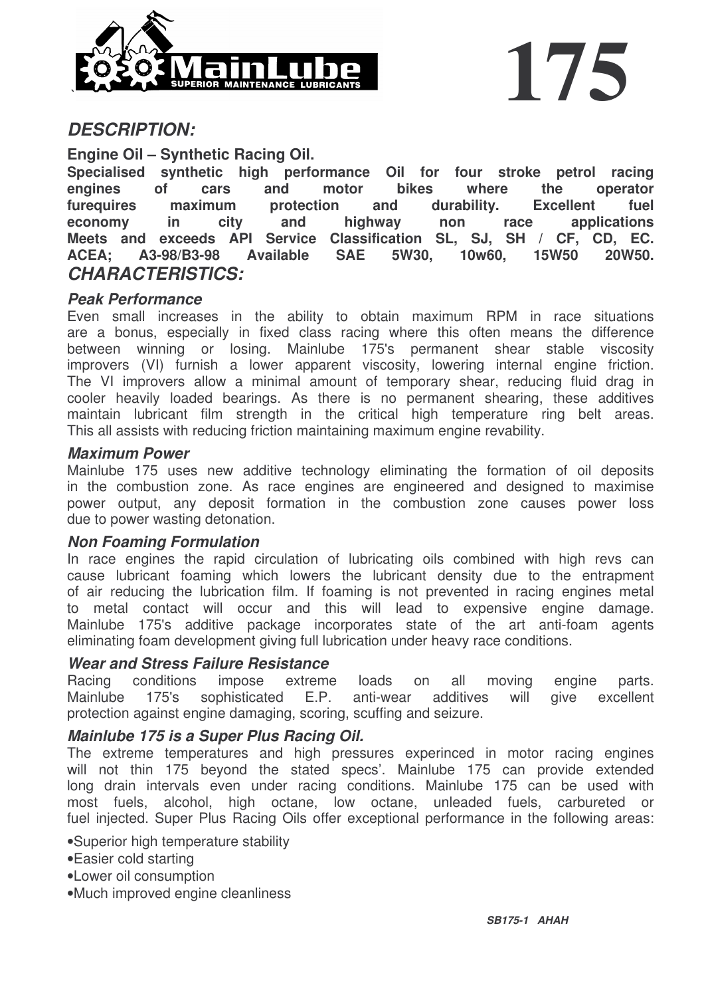

## *DESCRIPTION:*

**Engine Oil – Synthetic Racing Oil.**

**Specialised synthetic high performance Oil for four stroke petrol racing engines of cars and motor bikes where the operator furequires maximum protection and durability. Excellent fuel economy in city and highway non race applications Meets and exceeds API Service Classification SL, SJ, SH / CF, CD, EC. ACEA; A3-98/B3-98 Available SAE 5W30, 10w60, 15W50 20W50.** *CHARACTERISTICS:*

### *Peak Performance*

Even small increases in the ability to obtain maximum RPM in race situations are a bonus, especially in fixed class racing where this often means the difference between winning or losing. Mainlube 175's permanent shear stable viscosity improvers (VI) furnish a lower apparent viscosity, lowering internal engine friction. The VI improvers allow a minimal amount of temporary shear, reducing fluid drag in cooler heavily loaded bearings. As there is no permanent shearing, these additives maintain lubricant film strength in the critical high temperature ring belt areas. This all assists with reducing friction maintaining maximum engine revability.

#### *Maximum Power*

Mainlube 175 uses new additive technology eliminating the formation of oil deposits in the combustion zone. As race engines are engineered and designed to maximise power output, any deposit formation in the combustion zone causes power loss due to power wasting detonation.

#### *Non Foaming Formulation*

In race engines the rapid circulation of lubricating oils combined with high revs can cause lubricant foaming which lowers the lubricant density due to the entrapment of air reducing the lubrication film. If foaming is not prevented in racing engines metal to metal contact will occur and this will lead to expensive engine damage. Mainlube 175's additive package incorporates state of the art anti-foam agents eliminating foam development giving full lubrication under heavy race conditions.

#### *Wear and Stress Failure Resistance*

Racing conditions impose extreme loads on all moving engine parts. Mainlube 175's sophisticated E.P. anti-wear additives will give excellent protection against engine damaging, scoring, scuffing and seizure.

#### *Mainlube 175 is a Super Plus Racing Oil.*

The extreme temperatures and high pressures experinced in motor racing engines will not thin 175 beyond the stated specs'. Mainlube 175 can provide extended long drain intervals even under racing conditions. Mainlube 175 can be used with most fuels, alcohol, high octane, low octane, unleaded fuels, carbureted or fuel injected. Super Plus Racing Oils offer exceptional performance in the following areas:

•Superior high temperature stability

- •Easier cold starting
- •Lower oil consumption
- •Much improved engine cleanliness